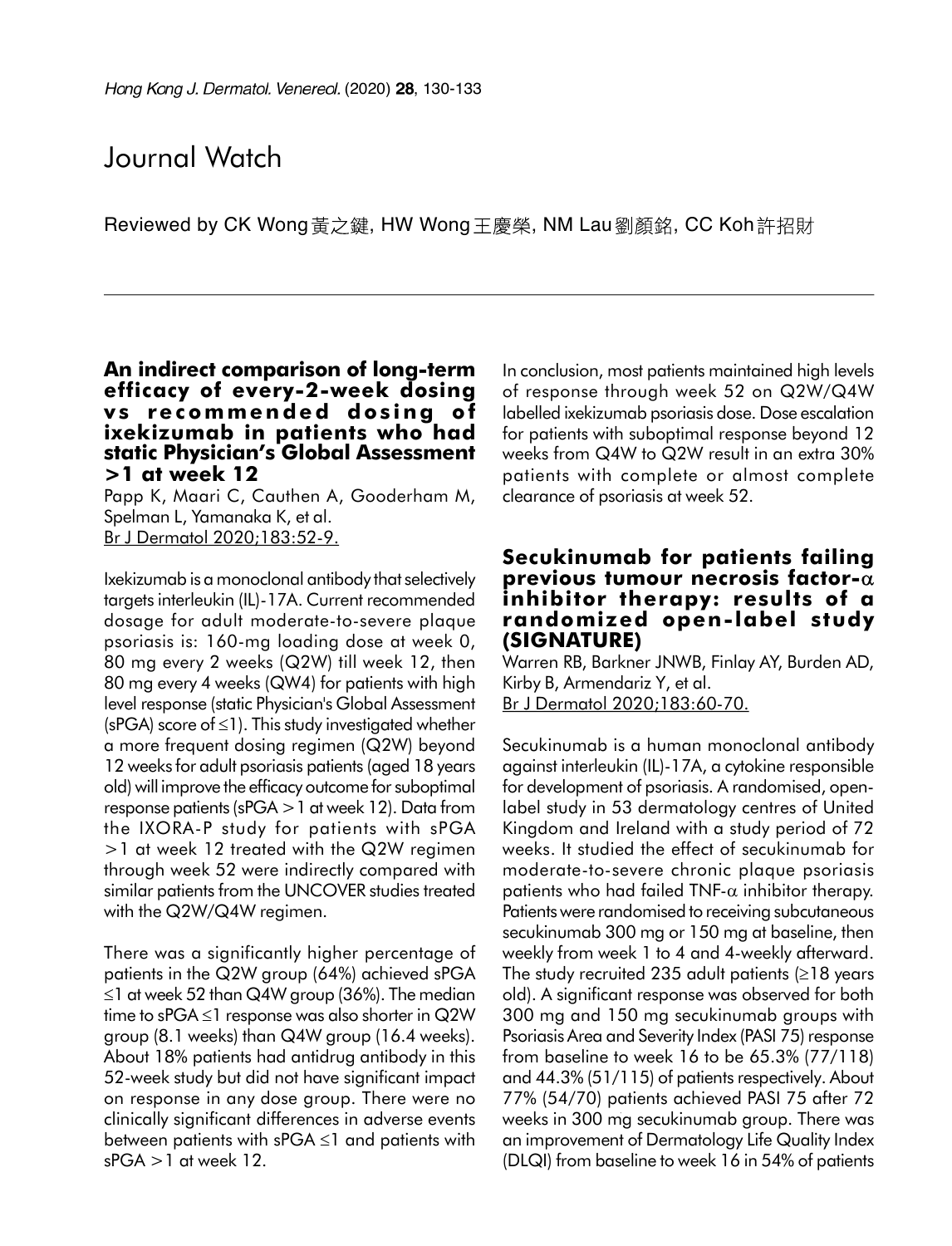# Journal Watch

Reviewed by CK Wong 黃之鍵, HW Wong 王慶榮, NM Lau 劉顏銘, CC Koh許招財

#### An indirect comparison of long-term efficacy of every-2-week dosing vs recommended dosing of ixekizumab in patients who had static Physician's Global Assessment >1 at week 12

Papp K, Maari C, Cauthen A, Gooderham M, Spelman L, Yamanaka K, et al. Br J Dermatol 2020;183:52-9.

Ixekizumab is a monoclonal antibody that selectively targets interleukin (IL)-17A. Current recommended dosage for adult moderate-to-severe plaque psoriasis is: 160-mg loading dose at week 0, 80 mg every 2 weeks (Q2W) till week 12, then 80 mg every 4 weeks (QW4) for patients with high level response (static Physician's Global Assessment (sPGA) score of  $\leq$ 1). This study investigated whether a more frequent dosing regimen (Q2W) beyond 12 weeks for adult psoriasis patients (aged 18 years old) will improve the efficacy outcome for suboptimal response patients (sPGA  $>1$  at week 12). Data from the IXORA-P study for patients with sPGA >1 at week 12 treated with the Q2W regimen through week 52 were indirectly compared with similar patients from the UNCOVER studies treated with the Q2W/Q4W regimen.

There was a significantly higher percentage of patients in the Q2W group (64%) achieved sPGA  $\leq$ 1 at week 52 than Q4W group (36%). The median time to sPGA  $\leq$ 1 response was also shorter in Q2W group (8.1 weeks) than Q4W group (16.4 weeks). About 18% patients had antidrug antibody in this 52-week study but did not have significant impact on response in any dose group. There were no clinically significant differences in adverse events between patients with  $sPGA \leq 1$  and patients with  $sPGA > 1$  at week 12.

In conclusion, most patients maintained high levels of response through week 52 on Q2W/Q4W labelled ixekizumab psoriasis dose. Dose escalation for patients with suboptimal response beyond 12 weeks from Q4W to Q2W result in an extra 30% patients with complete or almost complete clearance of psoriasis at week 52.

#### Secukinumab for patients failing previous tumour necrosis factor- $\alpha$ inhibitor therapy: results of a randomized open-label study (SIGNATURE)

Warren RB, Barkner JNWB, Finlay AY, Burden AD, Kirby B, Armendariz Y, et al. Br J Dermatol 2020;183:60-70.

Secukinumab is a human monoclonal antibody against interleukin (IL)-17A, a cytokine responsible for development of psoriasis. A randomised, openlabel study in 53 dermatology centres of United Kingdom and Ireland with a study period of 72 weeks. It studied the effect of secukinumab for moderate-to-severe chronic plaque psoriasis patients who had failed TNF- $\alpha$  inhibitor therapy. Patients were randomised to receiving subcutaneous secukinumab 300 mg or 150 mg at baseline, then weekly from week 1 to 4 and 4-weekly afterward. The study recruited 235 adult patients  $(218 \text{ years})$ old). A significant response was observed for both 300 mg and 150 mg secukinumab groups with Psoriasis Area and Severity Index (PASI 75) response from baseline to week 16 to be 65.3% (77/118) and 44.3% (51/115) of patients respectively. About 77% (54/70) patients achieved PASI 75 after 72 weeks in 300 mg secukinumab group. There was an improvement of Dermatology Life Quality Index (DLQI) from baseline to week 16 in 54% of patients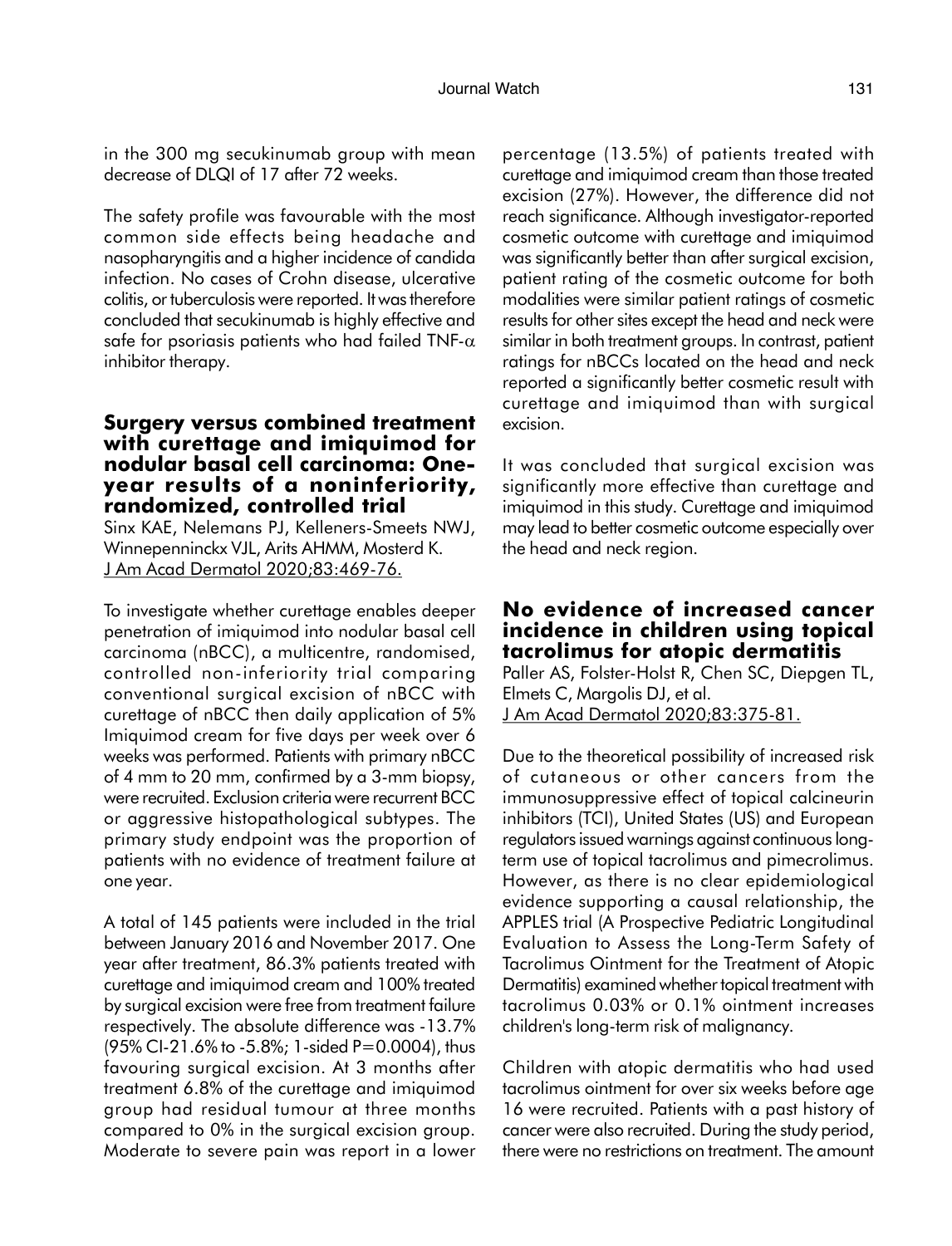The safety profile was favourable with the most common side effects being headache and nasopharyngitis and a higher incidence of candida infection. No cases of Crohn disease, ulcerative colitis, or tuberculosis were reported. It was therefore concluded that secukinumab is highly effective and safe for psoriasis patients who had failed TNF- $\alpha$ inhibitor therapy.

#### Surgery versus combined treatment with curettage and imiquimod for nodular basal cell carcinoma: Oneyear results of a noninferiority, randomized, controlled trial

Sinx KAE, Nelemans PJ, Kelleners-Smeets NWJ, Winnepenninckx VJL, Arits AHMM, Mosterd K. J Am Acad Dermatol 2020;83:469-76.

To investigate whether curettage enables deeper penetration of imiquimod into nodular basal cell carcinoma (nBCC), a multicentre, randomised, controlled non-inferiority trial comparing conventional surgical excision of nBCC with curettage of nBCC then daily application of 5% Imiquimod cream for five days per week over 6 weeks was performed. Patients with primary nBCC of 4 mm to 20 mm, confirmed by a 3-mm biopsy, were recruited. Exclusion criteria were recurrent BCC or aggressive histopathological subtypes. The primary study endpoint was the proportion of patients with no evidence of treatment failure at one year.

A total of 145 patients were included in the trial between January 2016 and November 2017. One year after treatment, 86.3% patients treated with curettage and imiquimod cream and 100% treated by surgical excision were free from treatment failure respectively. The absolute difference was -13.7%  $(95\%$  CI-21.6% to -5.8%; 1-sided P=0.0004), thus favouring surgical excision. At 3 months after treatment 6.8% of the curettage and imiquimod group had residual tumour at three months compared to 0% in the surgical excision group. Moderate to severe pain was report in a lower percentage (13.5%) of patients treated with curettage and imiquimod cream than those treated excision (27%). However, the difference did not reach significance. Although investigator-reported cosmetic outcome with curettage and imiquimod was significantly better than after surgical excision, patient rating of the cosmetic outcome for both modalities were similar patient ratings of cosmetic results for other sites except the head and neck were similar in both treatment groups. In contrast, patient ratings for nBCCs located on the head and neck reported a significantly better cosmetic result with curettage and imiquimod than with surgical excision.

It was concluded that surgical excision was significantly more effective than curettage and imiquimod in this study. Curettage and imiquimod may lead to better cosmetic outcome especially over the head and neck region.

### No evidence of increased cancer incidence in children using topical tacrolimus for atopic dermatitis

Paller AS, Folster-Holst R, Chen SC, Diepgen TL, Elmets C, Margolis DJ, et al. J Am Acad Dermatol 2020;83:375-81.

Due to the theoretical possibility of increased risk of cutaneous or other cancers from the immunosuppressive effect of topical calcineurin inhibitors (TCI), United States (US) and European regulators issued warnings against continuous longterm use of topical tacrolimus and pimecrolimus. However, as there is no clear epidemiological evidence supporting a causal relationship, the APPLES trial (A Prospective Pediatric Longitudinal Evaluation to Assess the Long-Term Safety of Tacrolimus Ointment for the Treatment of Atopic Dermatitis) examined whether topical treatment with tacrolimus 0.03% or 0.1% ointment increases children's long-term risk of malignancy.

Children with atopic dermatitis who had used tacrolimus ointment for over six weeks before age 16 were recruited. Patients with a past history of cancer were also recruited. During the study period, there were no restrictions on treatment. The amount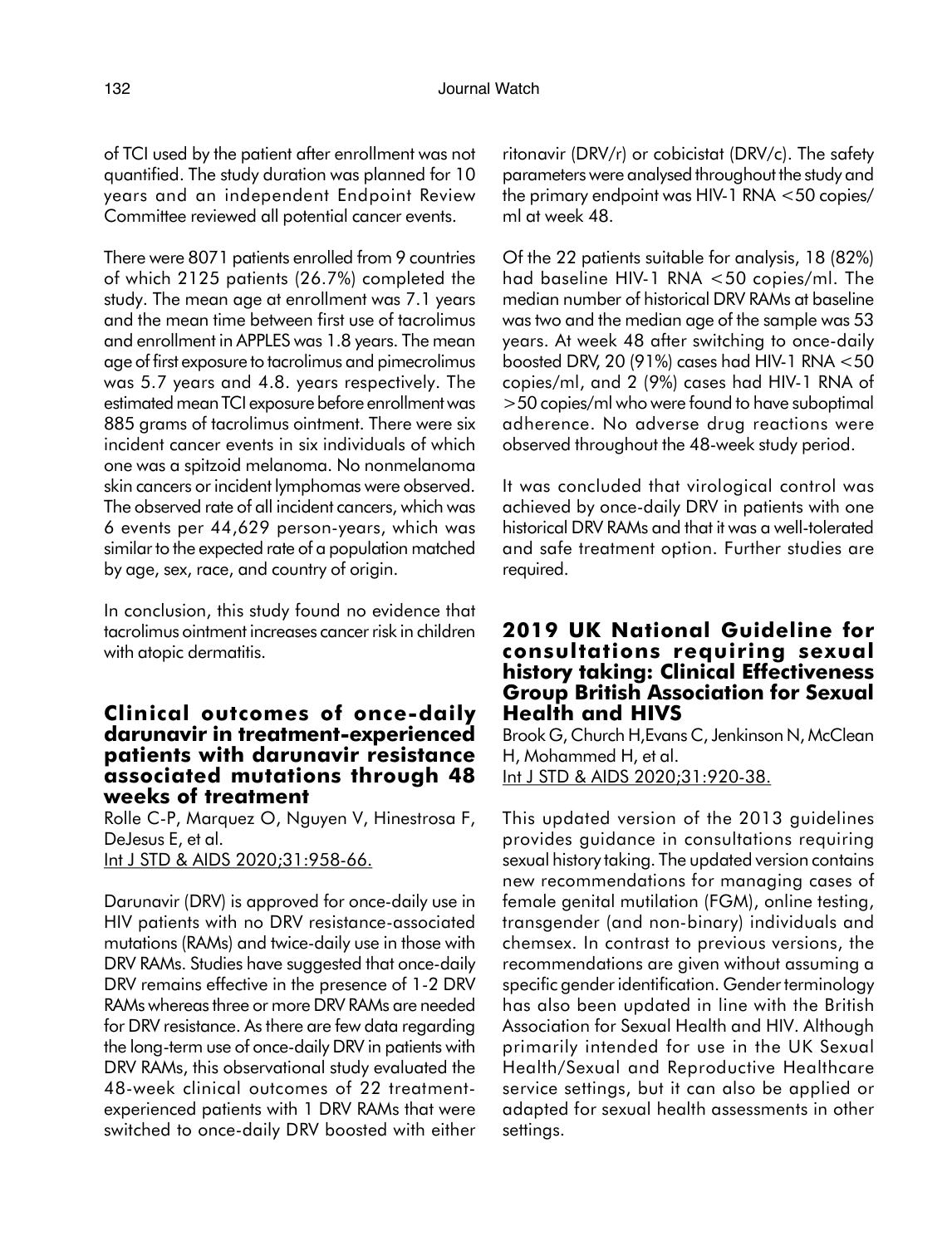of TCI used by the patient after enrollment was not quantified. The study duration was planned for 10 years and an independent Endpoint Review Committee reviewed all potential cancer events.

There were 8071 patients enrolled from 9 countries of which 2125 patients (26.7%) completed the study. The mean age at enrollment was 7.1 years and the mean time between first use of tacrolimus and enrollment in APPLES was 1.8 years. The mean age of first exposure to tacrolimus and pimecrolimus was 5.7 years and 4.8. years respectively. The estimated mean TCI exposure before enrollment was 885 grams of tacrolimus ointment. There were six incident cancer events in six individuals of which one was a spitzoid melanoma. No nonmelanoma skin cancers or incident lymphomas were observed. The observed rate of all incident cancers, which was 6 events per 44,629 person-years, which was similar to the expected rate of a population matched by age, sex, race, and country of origin.

In conclusion, this study found no evidence that tacrolimus ointment increases cancer risk in children with atopic dermatitis.

### Clinical outcomes of once-daily darunavir in treatment-experienced patients with darunavir resistance associated mutations through 48 weeks of treatment

Rolle C-P, Marquez O, Nguyen V, Hinestrosa F, DeJesus E, et al. Int J STD & AIDS 2020;31:958-66.

Darunavir (DRV) is approved for once-daily use in HIV patients with no DRV resistance-associated mutations (RAMs) and twice-daily use in those with DRV RAMs. Studies have suggested that once-daily DRV remains effective in the presence of 1-2 DRV RAMs whereas three or more DRV RAMs are needed for DRV resistance. As there are few data regarding the long-term use of once-daily DRV in patients with DRV RAMs, this observational study evaluated the 48-week clinical outcomes of 22 treatmentexperienced patients with 1 DRV RAMs that were switched to once-daily DRV boosted with either ritonavir (DRV/r) or cobicistat (DRV/c). The safety parameters were analysed throughout the study and the primary endpoint was HIV-1 RNA <50 copies/ ml at week 48.

Of the 22 patients suitable for analysis, 18 (82%) had baseline HIV-1 RNA <50 copies/ml. The median number of historical DRV RAMs at baseline was two and the median age of the sample was 53 years. At week 48 after switching to once-daily boosted DRV, 20 (91%) cases had HIV-1 RNA <50 copies/ml, and 2 (9%) cases had HIV-1 RNA of >50 copies/ml who were found to have suboptimal adherence. No adverse drug reactions were observed throughout the 48-week study period.

It was concluded that virological control was achieved by once-daily DRV in patients with one historical DRV RAMs and that it was a well-tolerated and safe treatment option. Further studies are required.

### 2019 UK National Guideline for consultations requiring sexual history taking: Clinical Effectiveness Group British Association for Sexual Health and HIVS

Brook G, Church H,Evans C, Jenkinson N, McClean H, Mohammed H, et al. Int J STD & AIDS 2020;31:920-38.

This updated version of the 2013 guidelines provides guidance in consultations requiring sexual history taking. The updated version contains new recommendations for managing cases of female genital mutilation (FGM), online testing, transgender (and non-binary) individuals and chemsex. In contrast to previous versions, the recommendations are given without assuming a specific gender identification. Gender terminology has also been updated in line with the British Association for Sexual Health and HIV. Although primarily intended for use in the UK Sexual Health/Sexual and Reproductive Healthcare service settings, but it can also be applied or adapted for sexual health assessments in other settings.